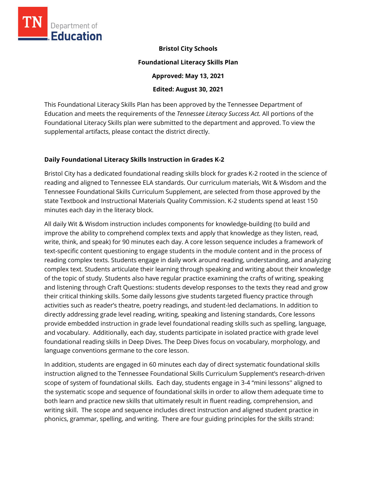

**Bristol City Schools** 

#### **Foundational Literacy Skills Plan**

**Approved: May 13, 2021** 

**Edited: August 30, 2021**

This Foundational Literacy Skills Plan has been approved by the Tennessee Department of Education and meets the requirements of the *Tennessee Literacy Success Act.* All portions of the Foundational Literacy Skills plan were submitted to the department and approved. To view the supplemental artifacts, please contact the district directly.

### **Daily Foundational Literacy Skills Instruction in Grades K-2**

Bristol City has a dedicated foundational reading skills block for grades K-2 rooted in the science of reading and aligned to Tennessee ELA standards. Our curriculum materials, Wit & Wisdom and the Tennessee Foundational Skills Curriculum Supplement, are selected from those approved by the state Textbook and Instructional Materials Quality Commission. K-2 students spend at least 150 minutes each day in the literacy block.

All daily Wit & Wisdom instruction includes components for knowledge-building (to build and improve the ability to comprehend complex texts and apply that knowledge as they listen, read, write, think, and speak) for 90 minutes each day. A core lesson sequence includes a framework of text-specific content questioning to engage students in the module content and in the process of reading complex texts. Students engage in daily work around reading, understanding, and analyzing complex text. Students articulate their learning through speaking and writing about their knowledge of the topic of study. Students also have regular practice examining the crafts of writing, speaking and listening through Craft Questions: students develop responses to the texts they read and grow their critical thinking skills. Some daily lessons give students targeted fluency practice through activities such as reader's theatre, poetry readings, and student-led declamations. In addition to directly addressing grade level reading, writing, speaking and listening standards, Core lessons provide embedded instruction in grade level foundational reading skills such as spelling, language, and vocabulary. Additionally, each day, students participate in isolated practice with grade level foundational reading skills in Deep Dives. The Deep Dives focus on vocabulary, morphology, and language conventions germane to the core lesson.

In addition, students are engaged in 60 minutes each day of direct systematic foundational skills instruction aligned to the Tennessee Foundational Skills Curriculum Supplement's research-driven scope of system of foundational skills. Each day, students engage in 3-4 "mini lessons'' aligned to the systematic scope and sequence of foundational skills in order to allow them adequate time to both learn and practice new skills that ultimately result in fluent reading, comprehension, and writing skill. The scope and sequence includes direct instruction and aligned student practice in phonics, grammar, spelling, and writing. There are four guiding principles for the skills strand: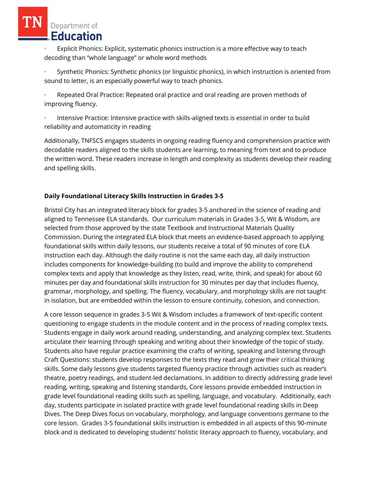Explicit Phonics: Explicit, systematic phonics instruction is a more effective way to teach decoding than "whole language" or whole word methods

Synthetic Phonics: Synthetic phonics (or linguistic phonics), in which instruction is oriented from sound to letter, is an especially powerful way to teach phonics.

Repeated Oral Practice: Repeated oral practice and oral reading are proven methods of improving fluency.

Intensive Practice: Intensive practice with skills-aligned texts is essential in order to build reliability and automaticity in reading

Additionally, TNFSCS engages students in ongoing reading fluency and comprehension practice with decodable readers aligned to the skills students are learning, to meaning from text and to produce the written word. These readers increase in length and complexity as students develop their reading and spelling skills.

## **Daily Foundational Literacy Skills Instruction in Grades 3-5**

Bristol City has an integrated literacy block for grades 3-5 anchored in the science of reading and aligned to Tennessee ELA standards. Our curriculum materials in Grades 3-5, Wit & Wisdom, are selected from those approved by the state Textbook and Instructional Materials Quality Commission. During the integrated ELA block that meets an evidence-based approach to applying foundational skills within daily lessons, our students receive a total of 90 minutes of core ELA instruction each day. Although the daily routine is not the same each day, all daily instruction includes components for knowledge-building (to build and improve the ability to comprehend complex texts and apply that knowledge as they listen, read, write, think, and speak) for about 60 minutes per day and foundational skills instruction for 30 minutes per day that includes fluency, grammar, morphology, and spelling. The fluency, vocabulary, and morphology skills are not taught in isolation, but are embedded within the lesson to ensure continuity, cohesion, and connection.

A core lesson sequence in grades 3-5 Wit & Wisdom includes a framework of text-specific content questioning to engage students in the module content and in the process of reading complex texts. Students engage in daily work around reading, understanding, and analyzing complex text. Students articulate their learning through speaking and writing about their knowledge of the topic of study. Students also have regular practice examining the crafts of writing, speaking and listening through Craft Questions: students develop responses to the texts they read and grow their critical thinking skills. Some daily lessons give students targeted fluency practice through activities such as reader's theatre, poetry readings, and student-led declamations. In addition to directly addressing grade level reading, writing, speaking and listening standards, Core lessons provide embedded instruction in grade level foundational reading skills such as spelling, language, and vocabulary. Additionally, each day, students participate in isolated practice with grade level foundational reading skills in Deep Dives. The Deep Dives focus on vocabulary, morphology, and language conventions germane to the core lesson. Grades 3-5 foundational skills instruction is embedded in all aspects of this 90-minute block and is dedicated to developing students' holistic literacy approach to fluency, vocabulary, and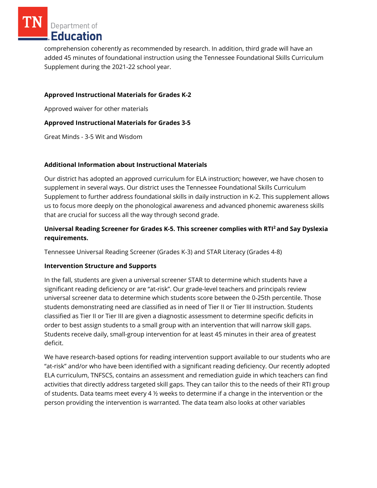comprehension coherently as recommended by research. In addition, third grade will have an added 45 minutes of foundational instruction using the Tennessee Foundational Skills Curriculum Supplement during the 2021-22 school year.

## **Approved Instructional Materials for Grades K-2**

Approved waiver for other materials

### **Approved Instructional Materials for Grades 3-5**

Great Minds - 3-5 Wit and Wisdom

### **Additional Information about Instructional Materials**

Our district has adopted an approved curriculum for ELA instruction; however, we have chosen to supplement in several ways. Our district uses the Tennessee Foundational Skills Curriculum Supplement to further address foundational skills in daily instruction in K-2. This supplement allows us to focus more deeply on the phonological awareness and advanced phonemic awareness skills that are crucial for success all the way through second grade.

## **Universal Reading Screener for Grades K-5. This screener complies with RTI<sup>2</sup>and Say Dyslexia requirements.**

Tennessee Universal Reading Screener (Grades K-3) and STAR Literacy (Grades 4-8)

### **Intervention Structure and Supports**

In the fall, students are given a universal screener STAR to determine which students have a significant reading deficiency or are "at-risk". Our grade-level teachers and principals review universal screener data to determine which students score between the 0-25th percentile. Those students demonstrating need are classified as in need of Tier II or Tier III instruction. Students classified as Tier II or Tier III are given a diagnostic assessment to determine specific deficits in order to best assign students to a small group with an intervention that will narrow skill gaps. Students receive daily, small-group intervention for at least 45 minutes in their area of greatest deficit.

We have research-based options for reading intervention support available to our students who are "at-risk" and/or who have been identified with a significant reading deficiency. Our recently adopted ELA curriculum, TNFSCS, contains an assessment and remediation guide in which teachers can find activities that directly address targeted skill gaps. They can tailor this to the needs of their RTI group of students. Data teams meet every 4 ½ weeks to determine if a change in the intervention or the person providing the intervention is warranted. The data team also looks at other variables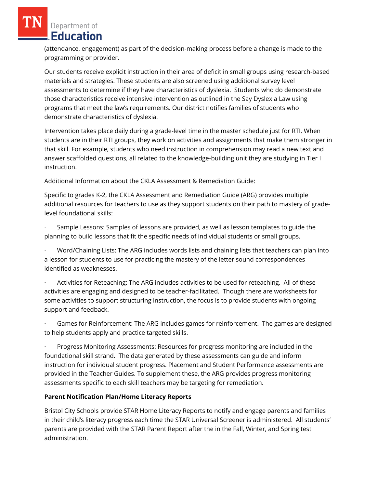(attendance, engagement) as part of the decision-making process before a change is made to the programming or provider.

Our students receive explicit instruction in their area of deficit in small groups using research-based materials and strategies. These students are also screened using additional survey level assessments to determine if they have characteristics of dyslexia. Students who do demonstrate those characteristics receive intensive intervention as outlined in the Say Dyslexia Law using programs that meet the law's requirements. Our district notifies families of students who demonstrate characteristics of dyslexia.

Intervention takes place daily during a grade-level time in the master schedule just for RTI. When students are in their RTI groups, they work on activities and assignments that make them stronger in that skill. For example, students who need instruction in comprehension may read a new text and answer scaffolded questions, all related to the knowledge-building unit they are studying in Tier I instruction.

Additional Information about the CKLA Assessment & Remediation Guide:

Specific to grades K-2, the CKLA Assessment and Remediation Guide (ARG) provides multiple additional resources for teachers to use as they support students on their path to mastery of gradelevel foundational skills:

· Sample Lessons: Samples of lessons are provided, as well as lesson templates to guide the planning to build lessons that fit the specific needs of individual students or small groups.

· Word/Chaining Lists: The ARG includes words lists and chaining lists that teachers can plan into a lesson for students to use for practicing the mastery of the letter sound correspondences identified as weaknesses.

· Activities for Reteaching: The ARG includes activities to be used for reteaching. All of these activities are engaging and designed to be teacher-facilitated. Though there are worksheets for some activities to support structuring instruction, the focus is to provide students with ongoing support and feedback.

Games for Reinforcement: The ARG includes games for reinforcement. The games are designed to help students apply and practice targeted skills.

· Progress Monitoring Assessments: Resources for progress monitoring are included in the foundational skill strand. The data generated by these assessments can guide and inform instruction for individual student progress. Placement and Student Performance assessments are provided in the Teacher Guides. To supplement these, the ARG provides progress monitoring assessments specific to each skill teachers may be targeting for remediation.

## **Parent Notification Plan/Home Literacy Reports**

Bristol City Schools provide STAR Home Literacy Reports to notify and engage parents and families in their child's literacy progress each time the STAR Universal Screener is administered. All students' parents are provided with the STAR Parent Report after the in the Fall, Winter, and Spring test administration.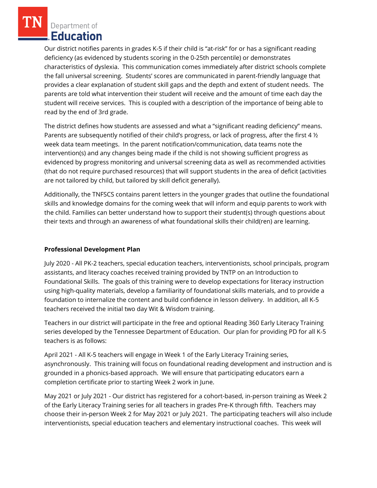Our district notifies parents in grades K-5 if their child is "at-risk" for or has a significant reading deficiency (as evidenced by students scoring in the 0-25th percentile) or demonstrates characteristics of dyslexia. This communication comes immediately after district schools complete the fall universal screening. Students' scores are communicated in parent-friendly language that provides a clear explanation of student skill gaps and the depth and extent of student needs. The parents are told what intervention their student will receive and the amount of time each day the student will receive services. This is coupled with a description of the importance of being able to read by the end of 3rd grade.

The district defines how students are assessed and what a "significant reading deficiency" means. Parents are subsequently notified of their child's progress, or lack of progress, after the first 4  $\frac{1}{2}$ week data team meetings. In the parent notification/communication, data teams note the intervention(s) and any changes being made if the child is not showing sufficient progress as evidenced by progress monitoring and universal screening data as well as recommended activities (that do not require purchased resources) that will support students in the area of deficit (activities are not tailored by child, but tailored by skill deficit generally).

Additionally, the TNFSCS contains parent letters in the younger grades that outline the foundational skills and knowledge domains for the coming week that will inform and equip parents to work with the child. Families can better understand how to support their student(s) through questions about their texts and through an awareness of what foundational skills their child(ren) are learning.

## **Professional Development Plan**

July 2020 - All PK-2 teachers, special education teachers, interventionists, school principals, program assistants, and literacy coaches received training provided by TNTP on an Introduction to Foundational Skills. The goals of this training were to develop expectations for literacy instruction using high-quality materials, develop a familiarity of foundational skills materials, and to provide a foundation to internalize the content and build confidence in lesson delivery. In addition, all K-5 teachers received the initial two day Wit & Wisdom training.

Teachers in our district will participate in the free and optional Reading 360 Early Literacy Training series developed by the Tennessee Department of Education. Our plan for providing PD for all K-5 teachers is as follows:

April 2021 - All K-5 teachers will engage in Week 1 of the Early Literacy Training series, asynchronously. This training will focus on foundational reading development and instruction and is grounded in a phonics-based approach. We will ensure that participating educators earn a completion certificate prior to starting Week 2 work in June.

May 2021 or July 2021 - Our district has registered for a cohort-based, in-person training as Week 2 of the Early Literacy Training series for all teachers in grades Pre-K through fifth. Teachers may choose their in-person Week 2 for May 2021 or July 2021. The participating teachers will also include interventionists, special education teachers and elementary instructional coaches. This week will